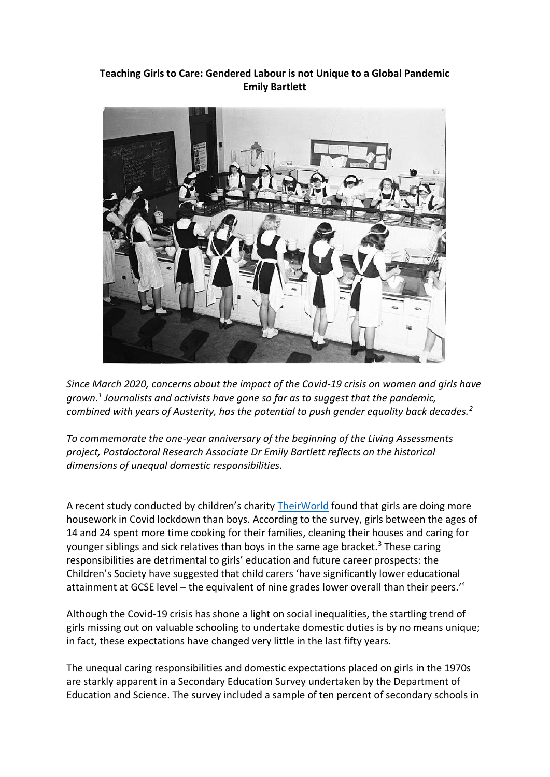## **Teaching Girls to Care: Gendered Labour is not Unique to a Global Pandemic Emily Bartlett**



*Since March 2020, concerns about the impact of the Covid-19 crisis on women and girls have grown.<sup>1</sup> Journalists and activists have gone so far as to suggest that the pandemic, combined with years of Austerity, has the potential to push gender equality back decades.<sup>2</sup>*

*To commemorate the one-year anniversary of the beginning of the Living Assessments project, Postdoctoral Research Associate Dr Emily Bartlett reflects on the historical dimensions of unequal domestic responsibilities.*

A recent study conducted by children's charity [TheirWorld](https://theirworld.org/) found that girls are doing more housework in Covid lockdown than boys. According to the survey, girls between the ages of 14 and 24 spent more time cooking for their families, cleaning their houses and caring for younger siblings and sick relatives than boys in the same age bracket.<sup>3</sup> These caring responsibilities are detrimental to girls' education and future career prospects: the Children's Society have suggested that child carers 'have significantly lower educational attainment at GCSE level – the equivalent of nine grades lower overall than their peers.' 4

Although the Covid-19 crisis has shone a light on social inequalities, the startling trend of girls missing out on valuable schooling to undertake domestic duties is by no means unique; in fact, these expectations have changed very little in the last fifty years.

The unequal caring responsibilities and domestic expectations placed on girls in the 1970s are starkly apparent in a Secondary Education Survey undertaken by the Department of Education and Science. The survey included a sample of ten percent of secondary schools in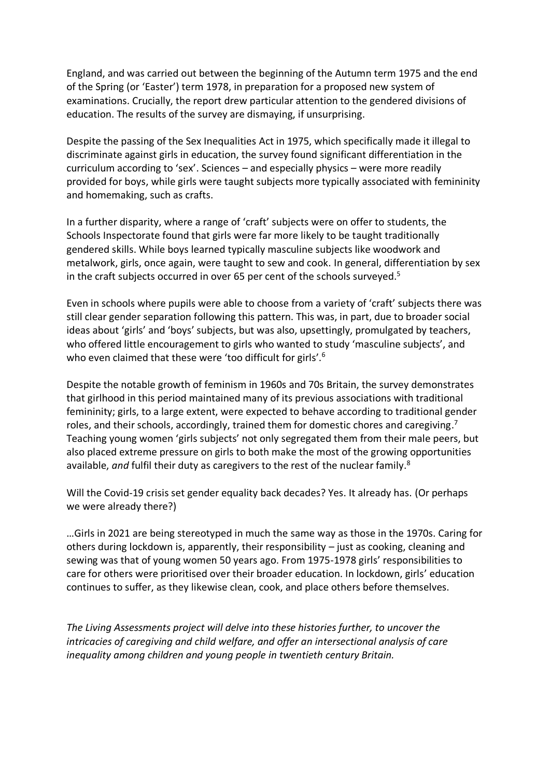England, and was carried out between the beginning of the Autumn term 1975 and the end of the Spring (or 'Easter') term 1978, in preparation for a proposed new system of examinations. Crucially, the report drew particular attention to the gendered divisions of education. The results of the survey are dismaying, if unsurprising.

Despite the passing of the Sex Inequalities Act in 1975, which specifically made it illegal to discriminate against girls in education, the survey found significant differentiation in the curriculum according to 'sex'. Sciences – and especially physics – were more readily provided for boys, while girls were taught subjects more typically associated with femininity and homemaking, such as crafts.

In a further disparity, where a range of 'craft' subjects were on offer to students, the Schools Inspectorate found that girls were far more likely to be taught traditionally gendered skills. While boys learned typically masculine subjects like woodwork and metalwork, girls, once again, were taught to sew and cook. In general, differentiation by sex in the craft subjects occurred in over 65 per cent of the schools surveyed. 5

Even in schools where pupils were able to choose from a variety of 'craft' subjects there was still clear gender separation following this pattern. This was, in part, due to broader social ideas about 'girls' and 'boys' subjects, but was also, upsettingly, promulgated by teachers, who offered little encouragement to girls who wanted to study 'masculine subjects', and who even claimed that these were 'too difficult for girls'.<sup>6</sup>

Despite the notable growth of feminism in 1960s and 70s Britain, the survey demonstrates that girlhood in this period maintained many of its previous associations with traditional femininity; girls, to a large extent, were expected to behave according to traditional gender roles, and their schools, accordingly, trained them for domestic chores and caregiving.<sup>7</sup> Teaching young women 'girls subjects' not only segregated them from their male peers, but also placed extreme pressure on girls to both make the most of the growing opportunities available, *and* fulfil their duty as caregivers to the rest of the nuclear family.<sup>8</sup>

Will the Covid-19 crisis set gender equality back decades? Yes. It already has. (Or perhaps we were already there?)

…Girls in 2021 are being stereotyped in much the same way as those in the 1970s. Caring for others during lockdown is, apparently, their responsibility – just as cooking, cleaning and sewing was that of young women 50 years ago. From 1975-1978 girls' responsibilities to care for others were prioritised over their broader education. In lockdown, girls' education continues to suffer, as they likewise clean, cook, and place others before themselves.

*The Living Assessments project will delve into these histories further, to uncover the intricacies of caregiving and child welfare, and offer an intersectional analysis of care inequality among children and young people in twentieth century Britain.*